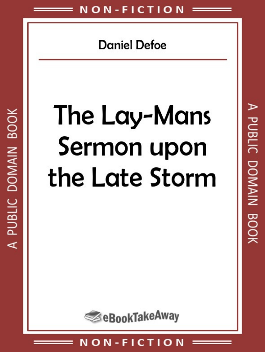**Daniel Defoe** 

# The Lay-Mans Sermon upon the Late Storm

A PUBLIC DOMAIN BOOK

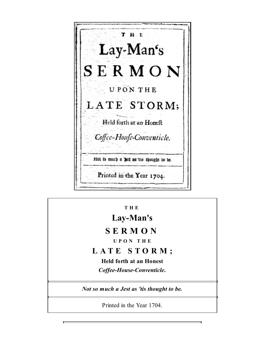T H E Lay-Man's SERMON **UPONTHE** LATE STORM; Held forth at an Honeft Coffee-Houfe-Conventicle. Plot to much a Belt as tis thought to be. Printed in the Year 1704.

**T H E**

**Lay-Man's**

## **S E R M O N**

**U P O N T H E**

### **L A T E S T O R M ;**

**Held forth at an Honest** *Coffee-House-Conventicle***.**

*Not so much a Jest as 'tis thought to be.*

Printed in the Year 1704.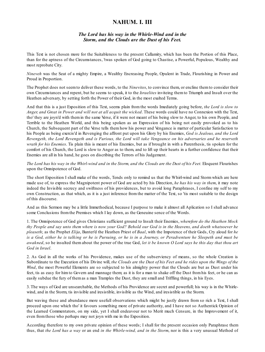#### **NAHUM. I. III**

#### *The Lord has his way in the Whirle-Wind and in the Storm, and the Clouds are the Dust of his Feet.*

This Text is not chosen more for the Suitableness to the present Callamity, which has been the Portion of this Place, than for the aptness of the Circumstances, 'twas spoken of God going to Chastise, a Powerful, Populous, Wealthy and most reprobate City.

*Nineveh* was the Seat of a mighty Empire, a Wealthy Encreasing People, Opulent in Trade, Flourishing in Power and Proud in Proportion.

The Prophet does not seemto deliver these words, to the *Ninevites*, to convince them, or encline themto consider their own Circumstances and repent, but he seems to speak, it to the *Israelites* inviteing themto Triumph and Insult over the Heathen adversary, by setting forth the Power of their God, in the most exalted Terms.

And that this is a just Exposition of this Text, seems plain from the words Imediately going before, *the Lord is slow to Anger, and Great in Power and will not at all acquit the wicked*. These words could have no Connexion with the Text, tho' they are joyn'd with them in the same Verse, if it were not meant of his being slow to Anger, to his own People, and Terrible to the Heathen World, and this being spoken as an Expression of his being not easily provoked as to his Church, the Subsequent part of the Verse tells them how his power and Vengance is matter of particular Satisfaction to his People as being exercis'd in Revenging the affront put upon his Glory by his Enemies, *God is Jealous, and the Lord* Revengeth, the Lord Revengeth and is Furious, the Lord will take Vengeance on his adversaries and he reserveth *wrath for his Enemies*. Tis plain this is meant of his Enemies, but as if brought in with a Parenthesis, tis spoken for the comfort of his Church, the Lord is slow to Anger as to them, and to lift up their hearts in a further confidence that their Enemies are all in his hand, he goes on discribing the Terrors of his Judgement.

The Lord has his way in the Whirl-wind and in the Storm, and the Clouds are the Dust of his Feet. Eloquent Flourishes upon the Omnipotence of God.

The short Exposition I shall make of the words, Tends only to remind us that the Whirl-wind and Storm which are here made use of, to express the Magnipotent power of God are acted by his Direction, *he has his way in them*, it may note indeed the Invisible secrecy and swiftness of his providences, but to avoid long Paraphrases, I confine my self to my own Construction, as that which, as it is a just inference from the matter of the Text, so 'tis most suitable to the design of this discourse.

And as this Sermon may be a little Immethodical, because I purpose to make it almost all Aplication so I shall advance some Conclusions fromthe Premises which I lay down, as the Geneuine sence of the Words.

1. The Omnipotence of God gives Christians sufficient ground to Insult their Enemies, *wherefore do the Heathen Mock* thy People and say unto them where is now your God? Behold our God is in the Heavens, and doeth whatsoever he *pleaseth*; as the Prophet *Elija*, Banter'd the Heathen Priest of *Baal*, with the Impotence of their Gods, Cry aloud for *he* is a God, either he is talking or he is Pursuing, or he is in a Journey, or Peradventure he Sleepeth and must be *awakned*, so he insulted them about the power of the true God, *let it be known O Lord says he this day that thou art God in Israel*.

2. As God in all the works of his Providence, makes use of the subserviency of means, so the whole Creation is Subordinate to the Execution of his Divine will, the Clouds are the Dust of his Feet and he rides upon the Wings of the *Wind*, the most Powerful Elements are so subjected to his almighty power that the Clouds are but as Dust under his feet, tis as easy for him to Govern and mannage them; as it is for a man to shake off the Dust from his feet, or he can as easily subdue the fury of themas a man Tramples the Dust, they are small and Triffling things, in his Eyes.

3. The ways of God are unsearchable, the Methods of his Providence are secret and powerfull; his way is in the Whirlewind, and in the Storm, tis invisible and iresistible, invisible as the Wind, and iresistible as the Storm.

But waving these and abundance more usefull observations which might be justly drawn from so rich a Text, I shall proceed upon one which tho' it favours something more of private authority, and I have not so Authentick Opinion of the Learned Commentators, on my side, yet I shall endeavour not to Merit much Censure, in the Improvement of it, even fromthose who perhaps may not joyn with me in the Exposition.

According therefore to my own private opinion of these words; I shall for the present occasion only Paraphrase them thus, that *the Lord has a way* or an end *in the Whirle-wind, and in the Storm*, nor is this a very unusual Method of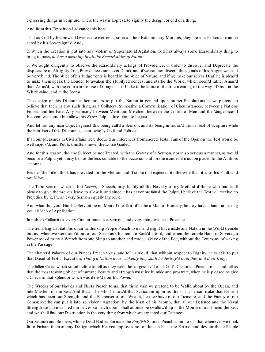expressing things in Scripture, where the way is Exprest, to signify the design, or end of a thing.

And fromthis Exposition I advance this head.

That as God by his power Governs the elements, so in all their Extraordinary Motions, they are in a Perticular manner acted by his Soveraignity. And,

2. When the Creation is put into any Violent or Supernatural Agitation, God has always some Extraordinary thing to bring to pass, *he has a meaning in all the Remarkables of Nature*.

3. We ought dilligently to observe the extraordinary actings of Providence, in order to discover and Deprecate the displeasure of Almighty God, Providences are never Dumb, and if we can not discern the signals of his Anger, we must be very blind. The Voice of his Judgements is heard in the Voice of Nature, and if we make our selves Deaf, he is pleas'd to make them speak the Louder, to awaken the stupifyed sences, and startle the World, which seem'd rather Amus'd than Amas'd, with the common Course of things. This I take to be some of the true meaning of the way of God, in the Whirle-wind, and in the Storm.

The design of this Discourse therefore, is to put the Nation in general upon proper Resolutions; if we pretend to believe that there is any such thing as a Collateral Sympathy, a Communication of Circumstances, between a Nations Follies, and her Fate. Any Harmony between Merit and Mischief, between the Crimes of Men and the Vengeance of Heaven; we cannot but allow this *Extra*-Pulpit admonition to be just.

And let not any man Object against this being call'd a Sermon, and its being introduc'd from a Text of Scripture while the remainer of this Discourse, seems wholly Civil and Political.

If all our Measures in Civil affairs were deduc'd as Inferences from sacred Texts, I am of the Opinion the Text would be well improv'd, and Publick matters never the worse Guided.

And for this reason, tho' the Subject be not Treated, with the Gravity of a Sermon, nor in so serious a manner, as would become a Pulpit, yet it may be not the less suitable to the occasion and for the manner, it must be placed to the Authors account.

Besides the Title I think has provided for the Method and If so he that expected it otherwise than it is tis his Fault, and not Mine.

The Term Sermon which is but *Sermo*, a Speech, may Justify all the Novelty of my Method if those who find fault please to give themselves leave to allow it, and since it has never profain'd the Pulpit, I believe the Text will receive no Prejudice by it, I wish every Sermon equally Improv'd.

And what tho' your Humble Servant be no Man of the Text; if he be a Man of Honesty, he may have a hand in making you all Men of Application.

In publick Callamities, every Circumstance is a Sermon, and every thing we see a Preacher.

The trembling Habitations of an Unthinking People Preach to us, and might have made any Nation in the World tremble but us; when we were rock'd out of our Sleep as Children are Rock'd into it; and when the terrible Hand of Soveraign Power rock'd many a Wretch from one Sleep to another, and made a Grave of the Bed, without the Ceremony of waking in the Passage.

The shatter'd Palaces of our Princes Preach to us, and tell us aloud, that without respect to Dignity, he is able to put that Dreadful Text in Execution; *That if a Nation does wickedly they shall be destroy'd both they and their King*.

The fallen Oaks, which stood before to tell us they were the longest liv'd of all God's Creatures, Preach to us, and tell us that the most towring object of humane Beauty and strength must lye humble and prostrate, when he is pleased to give a Check to that Splendor which was deriv'd fromhis Power.

The Wrecks of our Navies and Fleets Preach to us, that 'tis in vain we pretend to be Wall'd about by the Ocean, and ride Masters of the Sea: And that, if he who bestow'd that Scituation upon us thinks fit, he can make that Element which has been our Strength, and the Encreaser of our Wealth, be the Grave of our Treasure, and the Enemy of our Commerce; he can put it into so violent Agitation, by the blast of his Mouth, that all our Defence and the Naval Strength we have vallued our selves so much upon, shall at once be swallow'd up in the Mouth of our Friend the Sea; and we shall find our Destruction in the very thing fromwhich we expected our Defence.

Our Seamen and Soldiers, whose Dead Bodies Embrace the *English* Shores, Preach aloud to us, that whenever we think fit to Embark them on any Design, which Heaven approves not of, he can blast the Embrio, and devour those People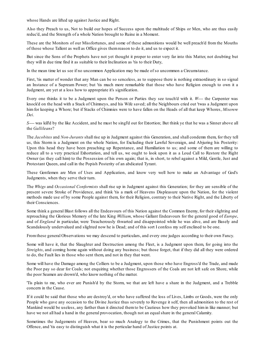whose Hands are lifted up against Justice and Right.

Also they Preach to us, Not to build our hopes of Success upon the multitude of Ships or Men, who are thus easily reduc'd, and the Strength of a whole Nation brought to Ruine in a Moment.

These are the Monitors of our Missfortunes, and some of these admonitions would be well preach'd from the Mouths of those whose Tallent as well as Office gives themreason to do it, and us to expect it.

But since the Sons of the Prophets have not yet thought it proper to enter very far into this Matter, not doubting but they will in due time find it as suitable to their Inclination as 'tis to their Duty,

In the mean time let us see if no uncommon Application may be made of so uncommon a Circumstance.

First, 'tis matter of wonder that any Man can be so senceless, as to suppose there is nothing extraordinary in so signal an Instance of a Supream Power; but 'tis much more remarkable that those who have Religion enough to own it a Judgment, are yet at a loss how to appropriate it's signification.

Every one thinks it to be a Judgment upon the Person or Parties they see touch'd with it. *W----* the Carpenter was knock'd on the head with a Stack of Chimneys, and his Wife saved; all the Neighbours cried out 'twas a Judgment upon him for keeping a Whore; but if Stacks of Chimnies were to have fallen on the Heads of all that keep Whores, *Miserere Dei*.

*S----* was kill'd by the like Accident, and he must be singl'd out for Extortion; But think ye that he was a Sinner above all the *Gallileans*?

The *Jacobites* and *Non-Jurants* shall rise up in Judgment against this Generation, and shall condemn them, for they tell us, this Storm is a Judgment on the whole Nation, for Excluding their Lawful Soveraign, and Abjuring his Posterity: Upon this head they have been preaching up Repentance, and Humiliation to us; and some of them are willing to reduce all to a very practical Exhortation, and tell us, we ought to look upon it as a Loud Call to Restore the Right Owner (as they call him) to the Possession of his own again; that is, in short, to rebel against a Mild, Gentle, Just and Protestant Queen, and call in the Popish Posterity of an abdicated Tyrant.

These Gentlemen are Men of Uses and Application, and know very well how to make an Advantage of God's Judgments, when they serve their turn.

The *Whigs* and *Occasional Conformists* shall rise up in Judgment against this Generation; for they are sensible of the present severe Stroke of Providence, and think 'tis a mark of Heavens Displeasure upon the Nation, for the violent methods made use of by some People against them, for their Religion, contrary to their Native Right, and the Liberty of their Consciences.

Some think a general Blast follows all the Endeavours of this Nation against the Common Enemy, for their slighting and reproaching the Glorious Memory of the late King *William*, whose Gallant Endeavours for the general good of *Europe*, and of *England* in particular, were Treacherously thwarted and disappointed while he was alive, and are Basely and Scandalously undervalued and slighted now he is Dead; and of this sort I confess my self enclined to be one.

Fromthese general Observations we may descend to particulars, and every one judges according to their own Fancy.

Some will have it, that the Slaughter and Destruction among the Fleet, is a Judgment upon them, for going into the *Streights*, and coming home again without doing any business; but those forget, that if they did all they were ordered to do, the Fault lies in those who sent them, and not in they that went.

Some will have the Damage among the Colliers to be a Judgment, upon those who have Engross'd the Trade, and made the Poor pay so dear for Coals; not enquiring whether those Engrossers of the Coals are not left safe on Shore, while the poor Seamen are drown'd, who know nothing of the matter.

'Tis plain to me, who ever are Punish'd by the Storm, we that are left have a share in the Judgment, and a Trebble concern in the Cause.

If it could be said that those who are destroy'd, or who have suffered the loss of Lives, Limbs or Goods, were the only People who gave any occasion to the Divine Justice thus severely to Revenge it self, then all admonition to the rest of Mankind would be useless, any farther than it directed them to be Cautious how they provoked him in like manner; but have we not all had a hand in the general provocation, though not an equalshare in the general Calamity.

Sometimes the Judgements of Heaven, bear so much Analogy to the Crimes, that the Punishment points out the Offence, and 'tis easy to distinguish what it is the perticular hand of Justice points at.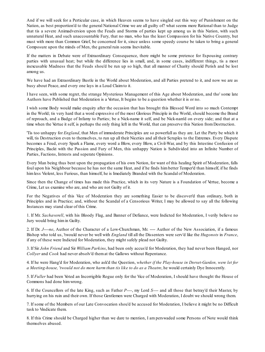And if we will seek for a Perticular case, in which Heaven seems to have singled out this way of Punishment on the Nation, as best proportion'd to the general National Crime we are all guilty of? what seems more Rational than to Judge that tis a severe Animadversion upon the Feuds and Storms of parties kept up among us in this Nation, with such unnatural Heat, and such unaccountable Fury, that no man, who has the least Compassion for his Native Country, but must with more than Common Grief, be concerned for it, since unless some speedy course be taken to bring a general Composure upon the minds of Men, the general ruin seems Inevitable.

If the matters in Debate were of Extraordinary Consequence, there might be some pretence for Espousing contrary parties with unusual heat; but while the difference lies in small, and, in some cases, indifferent things, tis a most inexcusable Madness that the Feuds shou'd be run up so high, that all manner of Charity should Perish and be lost among us.

We have had an Extraordinary Bustle in the World about Moderation, and all Parties pretend to it, and now we are as busy about Peace, and every one lays in a Loud Claimto it.

I have seen, with some regret, the strange Mysterious Management of this Age about Moderation, and tho' some late Authors have Published that Moderation is a Vertue, It begins to be a question whether it is or no.

I wish some Body would make enquiry after the occasion that has brought this Blessed Word into so much Contempt in the World; tis very hard that a word expressive of the most Glorious Principle in the World, should become the Brand of reproach, and a Badge of Infamy to Parties; be a Nick-name it self, and be Nick-nam'd on every side; and that at a time when the Vertue it self, is perhaps the only thing left in the World, that can preserve this Nation fromDestruction.

'Tis too unhappy for *England*, that Men of immoderate Principles are so powerfull as they are. Let the Party be which it will, tis Destruction even to themselves, to run up all their Niceties and all their Scruples to the Extremes. Every Dispute becomes a Feud, every Spark a Flame, every word a Blow, every Blow, a Civil-War, and by this Intestine Confusion of Principles, Backt with the Passion and Fury of Men, this unhappy Nation is Subdivided into an Infinite Number of Parties, Factions, Intrests and seperate Opinions.

Every Man being thus bent upon the propagation of his own Notion, for want of this healing Spirit of Moderation, falls foul upon his Neighbour because he has not the same Heat, and if he finds him better Temper'd than himself, if he finds himless Violent, less Furious, than himself, he is Imediately Branded with the Scandal of Moderation.

Since then the Change of times has made this Practice, which in its very Nature is a Foundation of Vertue, become a Crime, Let us examine who are, and who are not Guilty of it.

For the Negatives of this Vice of Moderation they are something Easier to be discover'd than ordinary, both in Principles and in Practice; and, without the Scandal of a Censorious Writer, I may be allowed to say all the following Instances may stand clear of this Crime.

1. If Mr. *Sachaverell*, with his Bloody Flag, and Banner of Defiance, were Indicted for Moderation, I verily believe no Jury would bring himin Guilty.

2. If Dr. *J----ne*, Author of the Character of a Low-Churchman, Mr. ---- Author of the New Association, if a famous Bishop who told us, 'twould never be well with *England* till all the Dissenters were serv'd like the *Hugonots* in *France*, if any of these were Indicted for Moderation, they might safely plead not Guilty.

3. If Sir *John Friend* and Sir *William Parkins*, had been only accus'd for Moderation, they had never been Hanged, nor *Collyer* and *Cook* had never absolv'd themat the Gallows without Repentance.

4. If he were Hang'd for Moderation, who ask'd the Question, *whether if the Play-house in Dorset-Garden, were let for a Meeting-house, 'twould not do more harm than tis like to do as a Theatre*, he would certainly Dye Innocently.

5. If *Fuller* had been Voted an Incorrigible Rogue only for the Vice of Moderation, I should have thought the House of Commons had done himwrong.

6. If the Councellors of the late King, such as Father *P----*, my Lord *S----* and all those that betray'd their Master, by hurrying on his ruin and their own. If those Gentlemen were Charged with Moderation, I doubt we should wrong them.

7. If some of the Members of our Late Convocation shou'd be accused for Moderation, I believe it might be no Difficult task to Vindicate them.

8. If this Crime should be Charged higher than we dare to mention, I am perswaded some Persons of Note would think themselves abused.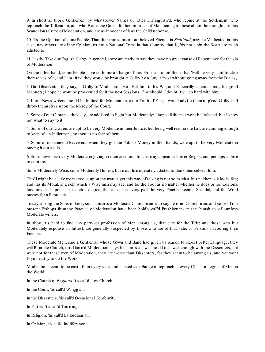9. In short all those Gentlemen, by whatsoever Names or Titles Distinguish'd, who repine at the Settlement, who reproach the Tolleration, and who Blame the Queen for her promises of Maintaining it, these abhor the thoughts of this Scandalous Crime of Moderation, and are as Innocent of it as the Child unborne.

10. Tis the Opinion of some People, That there are some of our beloved Friends in *Scotland*, may be Vindicated in this case, nay others are of the Opinion, tis not a National Crime in that Country, that is, 'tis not a sin the *Scots* are much adicted to.

11. Lastly, Take our English Clergy in general, some are ready to say they have no great cause of Repentance for the sin of Moderation.

On the other hand, some People have so home a Charge of this Error laid upon them, that 'twill be very hard to clear themselves of it, and I amafraid they would be brought in Guilty by a Jury, almost without going away fromthe Bar. as,

1. Our Observator, they say, is Guilty of Moderation, with Relation to his Wit, and Especially as concerning his good Manners; I hope he wont be prosecuted for it the next Sessions, if he should, I doubt, 'twill go hard with him.

2. If our News-writers should be Indited for Moderation, as to Truth of Fact, I would advise them to plead Guilty, and throw themselves upon the Mercy of the Court.

3. Some of our Captains, they say, are addicted to Fight but Moderately; I hope all the rest wont be Infected, but I know not what to say to it.

4. Some of our Lawyers are apt to be very Moderate in their Justice, but being well read in the Law are cunning enough to keep off an Indictment, so there is no fear of them.

5. Some of our General Receivers, when they got the Publick Money in their hands, were apt to be very Moderate in paying it out again.

6. Some have been very Moderate in giving in their accounts too, as may appear in former Reigns, and perhaps in time to come too.

Some Moderately Wise, some Moderatly Honest, but most Immoderately adicted to think themselves Both.

Tho' I might be a little more serious upon the matter, yet this way of talking is not so much a Jest neither as it looks like; and has its Moral, in it self, which a Wise man may see, and for the Fool tis no matter whether he does or no. Custome has prevailed upon us to such a degree, that almost in every part the very Practice seem a Scandal, and the Word passes for a Reproach.

To say, among the Sons of *Levy*, such a man is a Moderate Church-man is to say he is no Church-man, and some of our present Bishops from the Practice of Moderation have been boldly call'd Presbiterians in the Pamphlets of our less Moderate writers.

In short, 'tis hard to find any party or profession of Men among us, that care for the Title; and those who but Moderately espouse an Intrest, are generally suspected by those who are of that side, as Persons Favouring their Enemies.

These Moderate Men, said a Gentleman whose Gown and Band had given us reason to expect better Language, they will Ruin the Church, this Damn'd Moderation, says he, spoils all, we should deal well enough with the Dissenters, if it were not for these men of Moderation, they are worse than Dissenters, for they seem to be among us, and yet wont Joyn heartily to do the Work.

Moderation seems to be cast off on every side, and is used as a Badge of reproach in every Class, or degree of Men in the World.

In the Church of *England*, 'tis call'd Low-Church.

In the Court, 'tis call'd Whiggism.

In the Dissenters, 'tis call'd Occasional Conformity.

In Parties, 'tis call'd Trimming.

- In Religion, 'tis call'd Latitudinarian.
- In Opinion, 'tis call'd Indifference,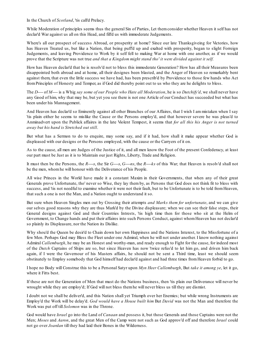In the Church of *Scotland*, 'tis call'd Prelacy.

While Moderation of principles seems thus the general Sin of Parties, Let them consider whether Heaven it self has not declar'd War against us all on this Head, and fill'd us with immoderate Judgements.

Where's all our prospect of success Abroad, or prosperity at home? Since our late Thanksgiveing for Victories, how has Heaven Treated us, but like a Nation, that being puff'd up and exalted with prosperity, began to slight Forreign Judgements, and leaving Providence to Work by it self fell to making War at home with one another, as if we would prove that the Scripture was not true *and that a Kingdom might stand tho' it were divided against it self*.

How has Heaven declar'd that he is resolv'd not to bless this immoderate Generation? How has all their Measures been disappointed both abroad and at home, all their designes been blasted, and the Anger of Heaven so remarkably bent against them, that even the little success we have had, has been prescrib'd by Providence to those few hands who Act fromPrinciples of Honesty and Temper, as if God did thereby point out to us who they are he delights to bless.

The *D----* of *M----* is a Whig *say some of our People who Hate all Moderation*, he is so *Dutchify'd*, we shall never have any Good of him, why that may be, but yet you see there is not one Article of our Conduct has succeeded but what has been under his Mannagement.

And Heaven has declar'd so Eminently against all other Branches of our Affaires, that I wish I am mistaken when I say 'tis plain either he seems to mislike the Cause or the Persons employ'd, and that however severe he was pleas'd to Anminadvert upon the Publick affaires in the late Violent Tempest, it seems that *for all this his Anger is not turned away but his hand is Stretched out still*.

But what has a Sermon to do to enquire, may some say, and if it had, how shall it make appear whether God is displeased with our designs or the Persons employed, with the cause or the Carryers of it on.

As to the cause, all men are Judges of the Justice of it, and all men know the Foot of the present Confederacy, at least our part must be Just as it is to Maintain our just Rights, Liberty, Trade and Religion.

It must then be the Persons, the *R----s*, the Sir *G----s*, *G----ns*, the *R----ks* of this War; that Heaven is resolv'd shall not be the men, whomhe will honour with the Deliverance of his People.

All wise Princes in the World have made it a constant Maxim in their Governments, that when any of their great Generals prove Unfortunate, tho' never so Wise, they lay them by, as Persons that God does not think fit to bless with success, and 'tis not needful to examine whether it were not their fault, but to be Unfortunate is to be told fromHeaven, that such a one is not the Man, and a Nation ought to understand it so.

But sure when Heaven Singles men out by Crossing their attempts *and Marks them for unfortunate*, and we can give our selves good reasons why they are thus Mark'd by the Divine displeasure; when we can see their false steps, their General designs against God and their Countries Intrests, 'tis high time then for those who sit at the Helm of Government, to Change hands and put their affaires into such Persons Conduct, against whomHeaven has not declar'd so plainly its Displeasure, nor the Nation its Dislike.

Why shou'd the Queen be desir'd to Chain down her own Happiness and the Nations Interest, to the Missfortune of a few Men. Perhaps God may Bless the Fleet under one Admiral, when he will not under another. I know nothing against Admiral *Callemburgh*, he may be an Honest and worthy-man, and ready enough to Fight for the cause, for indeed most of the *Dutch* Captains of Ships are so, but since Heaven has now 'twice refus'd to let him go, and driven him back again, if I were the Governour of his Masters affairs, he should not be sent a Third time, least we should seem obstinately to Employ somebody that God himself had declar'd against and had three times fromHeaven forbid to go.

I hope no Body will Construe this to be a Personal Satyr upon *Myn Heer Callemburgh*, But *take it among ye*, let it go, where it Fitts best.

If these are not the Generation of Men that must do the Nations business, then 'tis plain our Deliverance will never be wrought while they are employ'd; If God will not bless themhe will never bless us till they are dismist.

I doubt not we shall be deliver'd, and this Nation shall yet Triumph over her Enemies; but while wrong Instruments are Employ'd the Work will be delay'd. *God would have a House built him* But *David* was not the Man and therefore the Work was put off till *Solomon* was in the Throne.

God would have *Israel* go into the Land of *Canaan* and possess it, but those Generals and those Captains were not the Men; *Moses* and *Aaron*, and the great Men of the Camp were not such as God approv'd off and therefore *Israel* could not go over *Joardan* till they had laid their Bones in the Wilderness.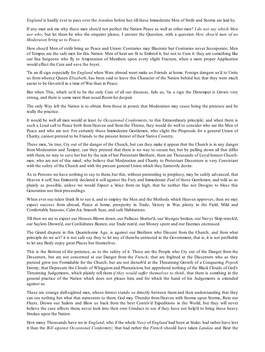*England* is hardly ever to pass over the *Jourdan* before her, till these Immoderate Men of Strife and Storms are laid by.

If any man ask me why these men shou'd not perfect the Nation Peace as well as other men? *I do not say which Men nor who*, but let them be who the enquirer please, I answer the Question, with a question *How shou'd men of no Moderaion bring us to Peace*.

How shou'd Men of strife bring us Peace and Union: Contraries may Illustrate but Contraries never Incorporate; Men of Temper, are the safe men for this Nation. Men of heat are fit to Embroil it, but not to Cure it: they are something like our Sea Surgeons who fly to Amputation of Members upon every slight Fracture, when a more proper Application would effect the Cure and save the Joynt.

'Tis an ill sign especially for *England* when Wars abroad wont make us Friends at home. Foreign dangers us'd to Unite us from whence Queen *Elizabeth*, has been said to leave this Character of the Nation behind her, that they were much easier to be Govern'd in a time of War than in Peace.

But when This, which us'd to be the only Cure of all our diseases, fails us, 'tis a sign the Distemper is Grown very strong, and there is some more than usual Roomfor despair.

The only Way left the Nation is to obtain from those in power, that Moderation may cease being the pretence and be really the practice.

It would be well all men would at least *be Occasional Conformists*, to this Extraordinary principle; and when there is such a Loud call to Peace both from Heaven and from the Throne, they would do well to consider who are the Men of Peace and who are not: For certainly those Immoderate Gentlemen, who slight the Proposals for a general Union of Charity, cannot pretend to be Friends to the present Intrest of their Native Country.

These men, 'tis true, Cry out of the danger of the Church, but can they make it appear that the Church is in any danger from Moderation and Temper; can they pretend that there is no way to secure her, but by pulling down all that differ with them, no way to save her but by the ruin of her Protestant Brethren; there are Thousands of Loyal honest Churchmen, who are not of this mind; who believe that Moderation and Charity to Protestant Dissenters is very Consistant with the safety of the Church and with the present general Union which they Earnestly desire.

As to Persons we have nothing to say to them, but this, without pretending to prophesy, may be safely advanced, that Heaven it self, has Eminently declared it self against the Fury and Immoderate Zeal of those Gentlemen, and told us as plainly as possible, unless we would Expect a Voice from on high, that he neither Has nor Designs to bless this Generation nor their proceedings.

When ever our rulers think fit to see it, and to employ the Men and the Methods which Heaven approves, then we may expect success from abroad, Peace at home, prosperity in Trade, Victory in War, plenty in the Field, Mild and Comfortable Seasons, CalmAir, Smooth Seas, and safe Habitations.

Till then we are to expect our Houses Blown down, our Pallaces Shatter'd, our Voyages broken, our Navys Ship-wreck'd, our Saylors Drown'd, our Confedrates Beaten, our Trade ruin'd, our Money spent and our Enemies encreased.

The Grand dispute in this Quarrelsome Age, is against our Brethren who Dissent from the Church; and from what principle do we act? it is not safe say they to let any of them be entrusted in the Government, that is, it is not profitable to let any Body enjoy great Places but themselves.

This is the Bottom of the pretence, as to the safety of it. These are the People who Cry out of the Danger from the Dissenters, but are not concerned at our Danger from the *French*; that are frighted at the Dissenters who as they pretend grow too Formidable for the Church, but are not disturb'd at the Threatning Growth of a Conquering *Popish* Enemy; that Deprecate the Clouds of Whiggism and Phanaticism, but apprehend nothing of the Black Clouds of God's Threatning Judgements, which plainly tell them *if they would suffer themselves to think*, that there is somthing in the general practice of the Nation which does not please him, and for which the hand of his Judgements is extended against us.

These are strange dull-sighted men, whose Intrest stands so directly between them and their understanding that they can see nothing but what that represents to them; God may Thunder from Heaven with Storms upon Storms, Ruin our Fleets, Drown our Sailors and Blow us back from the best Contriv'd Expeditions in the World, but they will never believe the case affects them, never look into their own Conduct to see if they have not help'd to bring these heavy Strokes upon the Nation.

How many Thousands have we in *England*, who if the whole *Navy* of *England* had been at Stake; had rather have lost it than the *Bill against Occasional Conformity*; that had rather the *French* should have taken *Landau* and Beat the